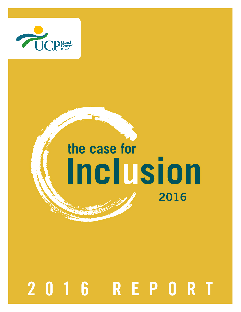

# the case for Inclusion 2016

# 2016 REPORT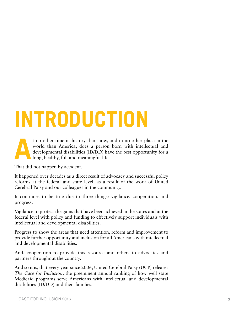# **Introduction**

t no other time in history than now, and in no other place in the world than America, does a person born with intellectual and developmental disabilities (ID/DD) have the best opportunity for a long, healthy, full and mean world than America, does a person born with intellectual and developmental disabilities (ID/DD) have the best opportunity for a long, healthy, full and meaningful life.

That did not happen by accident.

It happened over decades as a direct result of advocacy and successful policy reforms at the federal and state level, as a result of the work of United Cerebral Palsy and our colleagues in the community.

It continues to be true due to three things: vigilance, cooperation, and progress.

Vigilance to protect the gains that have been achieved in the states and at the federal level with policy and funding to effectively support individuals with intellectual and developmental disabilities.

Progress to show the areas that need attention, reform and improvement to provide further opportunity and inclusion for all Americans with intellectual and developmental disabilities.

And, cooperation to provide this resource and others to advocates and partners throughout the country.

And so it is, that every year since 2006, United Cerebral Palsy (UCP) releases *The Case for Inclusion*, the preeminent annual ranking of how well state Medicaid programs serve Americans with intellectual and developmental disabilities (ID/DD) and their families.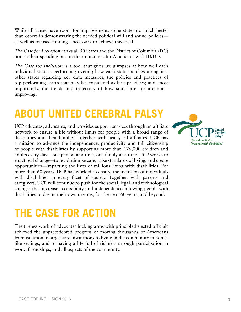While all states have room for improvement, some states do much better than others in demonstrating the needed political will and sound policies as well as focused funding—necessary to achieve this ideal.

*The Case for Inclusion* ranks all 50 States and the District of Columbia (DC) not on their spending but on their outcomes for Americans with ID/DD.

*The Case for Inclusion* is a tool that gives us: glimpses at how well each individual state is performing overall; how each state matches up against other states regarding key data measures; the policies and practices of top performing states that may be considered as best practices; and, most importantly, the trends and trajectory of how states are—or are not improving.

## **ABOUT UNITED CEREBRAL PALSY**

UCP educates, advocates, and provides support services through an affiliate network to ensure a life without limits for people with a broad range of disabilities and their families. Together with nearly 70 affiliates, UCP has a mission to advance the independence, productivity and full citizenship of people with disabilities by supporting more than 176,000 children and adults every day—one person at a time, one family at a time. UCP works to enact real change—to revolutionize care, raise standards of living, and create opportunities—impacting the lives of millions living with disabilities. For more than 60 years, UCP has worked to ensure the inclusion of individuals with disabilities in every facet of society. Together, with parents and caregivers, UCP will continue to push for the social, legal, and technological changes that increase accessibility and independence, allowing people with disabilities to dream their own dreams, for the next 60 years, and beyond.

## **The Case For Action**

The tireless work of advocates locking arms with principled elected officials achieved the unprecedented progress of moving thousands of Americans from isolation in large state institutions to living in the community in homelike settings, and to having a life full of richness through participation in work, friendships, and all aspects of the community.

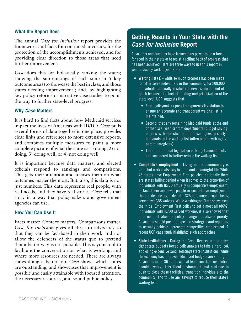#### **What the Report Does**

The annual *Case for Inclusion* report provides the framework and facts for continued advocacy, for the protection of the accomplishments achieved, and for providing clear direction to those areas that need further improvement.

*Case* does this by: holistically ranking the states; showing the sub-rankings of each state in 5 key outcome areas (to showcase the best in class, and those states needing improvement); and, by highlighting key policy reforms or narrative case studies to point the way to further state-level progress.

#### **Why** *Case* **Matters**

It is hard to find facts about how Medicaid services impact the lives of Americas with ID/DD. *Case* pulls several forms of data together in one place, provides clear links and references to more extensive reports, and combines multiple measures to paint a more complete picture of what the state is: 1) doing, 2) not doing, 3) doing well, or 4) not doing well.

It is important because data matters, and elected officials respond to rankings and comparisons. This gets their attention and focuses them on what outcomes matter the most. But, also, this data is not just numbers. This data represents real people, with real needs, and they have real stories. *Case* tells that story in a way that policymakers and government agencies can use.

#### **How You Can Use It**

Facts matter. Context matters. Comparisons matter. *Case for Inclusion* gives all three to advocates so that they can be fact-based in their work and not allow the defenders of the status quo to pretend that a better way is not possible. This is your tool to facilitate the conversation on what is working, and where more resources are needed. There are always states doing a better job. *Case* shows which states are outstanding, and showcases that improvement is possible and easily attainable with focused attention, the necessary resources, and sound public policy.

#### **Getting Results in Your State with the**  *Case for Inclusion* **Report**

Advocates and families have tremendous power to be a force for good in their state or to resist a rolling back of progress that has been achieved. Here are three ways to use this report in your advocacy work in your state:

- Waiting list (s) while so much progress has been made to better serve individuals in the community, for 208,000 individuals nationally, resitential services are still out of reach because of a lack of funding and prioritization at the state level. UCP suggests that:
	- First, policymakers pass transparency legislation to ensure an accurate and transparent waiting list is maintained.
	- Second, that any remaining Medicaid funds at the end of the fiscal year, or from departmental budget saving initiatives, be directed to fund those highest priorirty indiviuals on the waiting list (often adults with aging parent caregivers).
	- Third, that annual legislation or budget amendments are considered to further reduce the waiting list.
- Competitive employment Living in the commmunity is vital, but work is also key to a full and meaningful life. While 46 states have Employment First policies, nationally there are states falling behind when it comes to the proportion of individuals with ID/DD actually in competitive employment. In fact, there are fewer people in competitive employment than a decade ago: despite 325,000 more people being served by HCBS waivers. While Washington State showcased the initial Employment First policy to get almost all (86%) individuals with ID/DD served working, it also showed that it is not just about a policy change but also a priority. Advocates should push for specific strategies and reporting to actually achieve increasted competitive employment. A recent UCP case study highlights such approaches.
- State Institutions During the Great Recession and after, tight state budgets forced policymakers to take a hard look at closing expensive (and isolating) state institutions. While the economy has improved, Medicaid budgets are still tight. Advocates in the 36 states with at least one state institution should leverage this fiscal environment and continue to push to close these facilities, transition individuals to the community, and to use any savings to reduce their state's waiting list.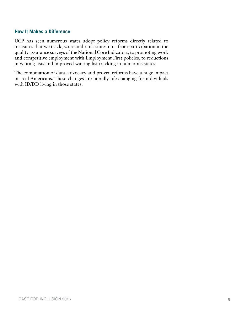#### **How It Makes a Difference**

UCP has seen numerous states adopt policy reforms directly related to measures that we track, score and rank states on—from participation in the quality assurance surveys of the National Core Indicators, to promoting work and competitive employment with Employment First policies, to reductions in waiting lists and improved waiting list tracking in numerous states.

The combination of data, advocacy and proven reforms have a huge impact on real Americans. These changes are literally life changing for individuals with ID/DD living in those states.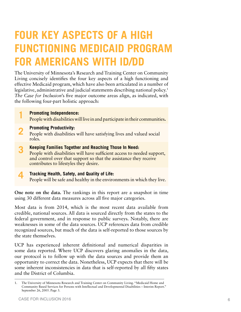## **Four Key Aspects of a High Functioning Medicaid Program for Americans with ID/DD**

The University of Minnesota's Research and Training Center on Community Living concisely identifies the four key aspects of a high functioning and effective Medicaid program, which have also been articulated in a number of legislative, administrative and judicial statements describing national policy.<sup>1</sup> *The Case for Inclusion*'s five major outcome areas align, as indicated, with the following four-part holistic approach:

- **1 Promoting Independence:**<br>People with disabilities will live in and participate in their communities.
- 
- **2 Promoting Productivity:**<br>
People with disabilities will have satisfying lives and valued social roles.
- **3 Keeping Families Together and Reaching Those In Need:**<br>People with disabilities will have sufficient access to needed support, and control over that support so that the assistance they receive contributes to lifestyles they desire.
- **4 Tracking Health, Safety, and Quality of Life:** People will be safe and healthy in the environments in which they live.

**One note on the data.** The rankings in this report are a snapshot in time using 30 different data measures across all five major categories.

Most data is from 2014, which is the most recent data available from credible, national sources. All data is sourced directly from the states to the federal government, and in response to public surveys. Notably, there are weaknesses in some of the data sources. UCP references data from credible recognized sources, but much of the data is self-reported to those sources by the state themselves.

UCP has experienced inherent definitional and numerical disparities in some data reported. Where UCP discovers glaring anomalies in the data, our protocol is to follow up with the data sources and provide them an opportunity to correct the data. Nonetheless, UCP expects that there will be some inherent inconsistencies in data that is self-reported by all fifty states and the District of Columbia.

<sup>1.</sup> The University of Minnesota Research and Training Center on Community Living. "Medicaid Home and Community Based Services for Persons with Intellectual and Developmental Disabilities – Interim Report." September 26, 2005. Page 3.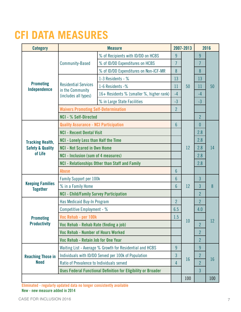## **CFI DATA MEASURES**

| <b>Category</b>                            |                                                                      | 2007-2013                                                |                | 2016           |                |     |
|--------------------------------------------|----------------------------------------------------------------------|----------------------------------------------------------|----------------|----------------|----------------|-----|
|                                            |                                                                      | % of Recipients with ID/DD on HCBS                       | 9              |                | $\overline{9}$ |     |
|                                            | <b>Community-Based</b>                                               | % of ID/DD Expenditures on HCBS                          | 7              |                | 7              |     |
|                                            |                                                                      | % of ID/DD Expenditures on Non-ICF-MR                    | 8              |                | 8              |     |
|                                            |                                                                      | 1-3 Residents - %                                        | 13             |                | 13             |     |
| <b>Promoting</b><br>Independence           | <b>Residential Services</b>                                          | 1-6 Residents -%                                         | 11             | 50             | 11             | 50  |
|                                            | in the Community<br>(includes all types)                             | 16+ Residents % (smaller %, higher rank)                 | $-4$           |                | $-4$           |     |
|                                            |                                                                      | % in Large State Facilities                              | $-3$           |                | $-3$           |     |
|                                            | <b>Waivers Promoting Self-Determination</b>                          |                                                          | $\overline{2}$ |                |                |     |
|                                            | <b>NCI - % Self-Directed</b>                                         |                                                          |                |                | $\overline{2}$ |     |
|                                            | <b>Quality Assurance - NCI Participation</b>                         |                                                          | 6              |                | $\theta$       |     |
|                                            | <b>NCI - Recent Dental Visit</b>                                     |                                                          |                |                | 2.8            |     |
| <b>Tracking Health,</b>                    | <b>NCI - Lonely Less than Half the Time</b>                          |                                                          |                | 2.8            | 14             |     |
| <b>Safety &amp; Quality</b>                | <b>NCI - Not Scared in Own Home</b>                                  |                                                          | 12             | 2.8            |                |     |
| of Life                                    | <b>NCI - Inclusion (sum of 4 measures)</b>                           |                                                          |                | 2.8            |                |     |
|                                            | <b>NCI - Relationships Other than Staff and Family</b>               |                                                          |                |                | 2.8            |     |
|                                            | <b>Abuse</b>                                                         | 6                                                        |                |                |                |     |
|                                            | <b>Family Support per 100k</b>                                       | 6                                                        |                | $\overline{3}$ |                |     |
| <b>Keeping Families</b><br><b>Together</b> | % in a Family Home                                                   | 6                                                        | 12             | $\overline{3}$ | 8              |     |
|                                            | <b>NCI - Child/Family Survey Participation</b>                       |                                                          |                | $\overline{2}$ |                |     |
|                                            | Has Medicaid Buy-In Program                                          |                                                          | $\overline{2}$ |                | $\overline{2}$ |     |
|                                            | Competitive Employment - %                                           |                                                          | 6.5            |                | 4.0            |     |
| <b>Promoting</b>                           | Voc Rehab - per 100k                                                 |                                                          | 1.5            |                |                | 12  |
| <b>Productivity</b>                        | Voc Rehab - Rehab Rate (finding a job)                               |                                                          |                | 10             | $\overline{2}$ |     |
|                                            | <b>Voc Rehab - Number of Hours Worked</b>                            |                                                          |                |                | $\overline{2}$ |     |
|                                            | Voc Rehab - Retain Job for One Year                                  |                                                          |                | $\overline{2}$ |                |     |
|                                            |                                                                      | Waiting List - Average % Growth for Residential and HCBS | 9              |                | 9              |     |
| <b>Reaching Those in</b>                   |                                                                      | Individuals with ID/DD Served per 100k of Population     | 3              |                | $\overline{2}$ |     |
| <b>Need</b>                                | Ratio of Prevalence to Individuals served                            |                                                          |                | 16             | $\overline{2}$ | 16  |
|                                            | <b>Uses Federal Functional Definition for Eligibility or Broader</b> |                                                          |                |                | $\overline{3}$ |     |
|                                            |                                                                      |                                                          |                | 100            |                | 100 |

Eliminated - regularly updated data no longer consistently available New - new measure added in 2014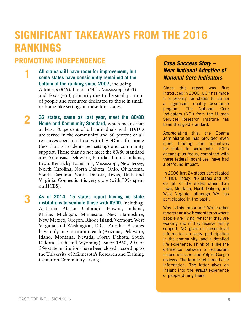## **Significant Takeaways from the 2016 RankingS**

#### **Promoting Independence**

- **1 All states still have room for improvement, but some states have consistently remained at the bottom of the ranking since 2007,** including Arkansas (#49), Illinois (#47), Mississippi (#51) and Texas (#50) primarily due to the small portion of people and resources dedicated to those in small or home-like settings in these four states.
	- **2 32 states, same as last year, meet the 80/80 Home and Community Standard,** which means that at least 80 percent of all individuals with ID/DD are served in the community and 80 percent of all resources spent on those with ID/DD are for home (less than 7 residents per setting) and community support. Those that do not meet the 80/80 standard are: Arkansas, Delaware, Florida, Illinois, Indiana, Iowa, Kentucky, Louisiana, Mississippi, New Jersey, North Carolina, North Dakota, Ohio, Oklahoma, South Carolina, South Dakota, Texas, Utah and Virginia. Connecticut is very close (with 79% spent on HCBS).
- **3 As of 2014, 15 states report having no state institutions to seclude those with ID/DD,** including: Alabama, Alaska, Colorado, Hawaii, Indiana, Maine, Michigan, Minnesota, New Hampshire, New Mexico, Oregon, Rhode Island, Vermont, West Virginia and Washington, D.C. Another 9 states have only one institution each (Arizona, Delaware, Idaho, Montana, Nevada, North Dakota, South Dakota, Utah and Wyoming). Since 1960, 205 of 354 state institutions have been closed, according to the University of Minnesota's Research and Training Center on Community Living.

#### *Case Success Story – Near National Adoption of National Core Indicators*

Since this report was first introduced in 2006, UCP has made it a priority for states to utilize a significant quality assurance program. The National Core Indicators (NCI) from the Human Services Research Institute has been that gold standard.

Appreciating this, the Obama administration has provided even more funding and incentives for states to participate. UCP's decade-plus focus, combined with these federal incentives, have had a profound impact.

In 2006 just 24 states participated in NCI. Today, 46 states and DC do (all of the states other than Iowa, Montana, North Dakota, and West Virginia, although WV has participated in the past).

Why is this important? While other reports can give broad stats on where people are living, whether they are working and if they receive family support, NCI gives us person-level information on saety, participation in the community, and a detailed life experience. Think of it like the difference between a restaurant inspection score and Yelp or Google reviews. The former tells one basic information. The latter gives on insight into the *actual* experience of people dining there.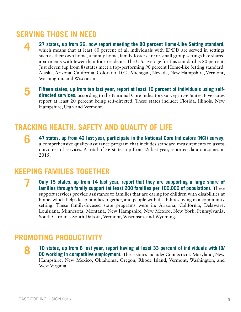#### **Serving Those In Need**

- **4 27 states, up from 26, now report meeting the 80 percent Home-Like Setting standard,** which means that at least 80 percent of all individuals with ID/DD are served in settings such as their own home, a family home, family foster care or small group settings like shared apartments with fewer than four residents. The U.S. average for this standard is 80 percent. Just eleven (up from 8) states meet a top-performing 90 percent Home-like Setting standard: Alaska, Arizona, California, Colorado, D.C., Michigan, Nevada, New Hampshire, Vermont, Washington, and Wisconsin.
- **5 Fifteen states, up from ten last year, report at least 10 percent of individuals using selfdirected services,** according to the National Core Indicators survey in 36 States. Five states report at least 20 percent being self-directed. These states include: Florida, Illinois, New Hampshire, Utah and Vermont.

#### **Tracking Health, Safety and Quality of Life**

**6 47 states, up from 42 last year, participate in the National Core Indicators (NCI) survey,** a comprehensive quality-assurance program that includes standard measurements to assess outcomes of services. A total of 36 states, up from 29 last year, reported data outcomes in 2015.

#### **Keeping Families Together**

**7 Only 15 states, up from 14 last year, report that they are supporting a large share of families through family support (at least 200 families per 100,000 of population).** These support services provide assistance to families that are caring for children with disabilities at home, which helps keep families together, and people with disabilities living in a community setting. These family-focused state programs were in: Arizona, California, Delaware, Louisiana, Minnesota, Montana, New Hampshire, New Mexico, New York, Pennsylvania, South Carolina, South Dakota, Vermont, Wisconsin, and Wyoming.

#### **Promoting Productivity**

**8 10 states, up from 8 last year, report having at least 33 percent of individuals with ID/ DD working in competitive employment.** These states include: Connecticut, Maryland, New Hampshire, New Mexico, Oklahoma, Oregon, Rhode Island, Vermont, Washington, and West Virginia.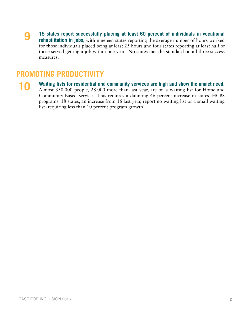**9 15 states report successfully placing at least 60 percent of individuals in vocational rehabilitation in jobs,** with nineteen states reporting the average number of hours worked for those individuals placed being at least 25 hours and four states reporting at least half of those served getting a job within one year. No states met the standard on all three success measures.

#### **Promoting Productivity**

**10 Waiting lists for residential and community services are high and show the unmet need.** Almost 350,000 people, 28,000 more than last year, are on a waiting list for Home and Community-Based Services. This requires a daunting 46 percent increase in states' HCBS programs. 18 states, an increase from 16 last year, report no waiting list or a small waiting list (requiring less than 10 percent program growth).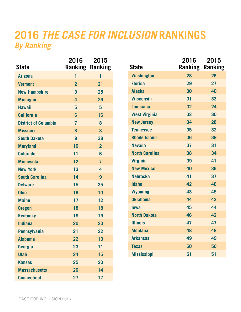## **2016** *The Case for Inclusion* **Rankings** *By Ranking*

| <b>State</b>                | 2016           | 2015<br><b>Ranking Ranking</b> | Sta                   |
|-----------------------------|----------------|--------------------------------|-----------------------|
| <b>Arizona</b>              | 1              | 1                              | W                     |
| <b>Vermont</b>              | $\overline{2}$ | 21                             | <b>FI</b>             |
| <b>New Hampshire</b>        | $\overline{3}$ | 25                             | Al                    |
| <b>Michigan</b>             | $\overline{4}$ | 29                             | W                     |
| <b>Hawaii</b>               | $5\phantom{1}$ | $5\overline{)}$                | Lo                    |
| <b>California</b>           | $6\phantom{a}$ | 16                             | W                     |
| <b>District of Columbia</b> | 7              | 8                              | Ne                    |
| <b>Missouri</b>             | 8              | $\overline{3}$                 | <b>Te</b>             |
| <b>South Dakota</b>         | $\overline{9}$ | 38                             | <b>Rh</b>             |
| <b>Maryland</b>             | 10             | $\overline{2}$                 | <b>N</b> <sub>6</sub> |
| <b>Colorado</b>             | 11             | 6                              | <b>No</b>             |
| <b>Minnesota</b>            | 12             | $\overline{7}$                 | Vil                   |
| <b>New York</b>             | 13             | $\overline{4}$                 | Ne                    |
| <b>South Carolina</b>       | 14             | 9                              | Ne                    |
| <b>Delware</b>              | 15             | 35                             | Ida                   |
| <b>Ohio</b>                 | 16             | 10                             | W                     |
| <b>Maine</b>                | 17             | 12                             | Ok                    |
| <b>Oregon</b>               | 18             | 18                             | lo                    |
| <b>Kentucky</b>             | 19             | 19                             | <b>No</b>             |
| <b>Indiana</b>              | 20             | 23                             | Ш                     |
| Pennsylvania                | 21             | 22                             | M <sub>0</sub>        |
| <b>Alabama</b>              | 22             | 13                             | Ar                    |
| Georgia                     | 23             | 11                             | <b>Te</b>             |
| <b>Utah</b>                 | 24             | 15                             | Mi                    |
| <b>Kansas</b>               | 25             | 20                             |                       |
| <b>Massachusetts</b>        | 26             | 14                             |                       |
| <b>Connecticut</b>          | 27             | 17                             |                       |

| <b>State</b>          | 2016<br>Ranking | 2015<br><b>Ranking</b> |
|-----------------------|-----------------|------------------------|
| <b>Washington</b>     | 28              | 26                     |
| <b>Florida</b>        | 29              | 27                     |
| <b>Alaska</b>         | 30              | 40                     |
| <b>Wisconsin</b>      | 31              | 33                     |
| Louisiana             | 32              | 24                     |
| <b>West Virginia</b>  | 33              | 30                     |
| <b>New Jersey</b>     | 34              | 28                     |
| <b>Tennessee</b>      | 35              | 32                     |
| <b>Rhode Island</b>   | 36              | 39                     |
| <b>Nevada</b>         | 37              | 31                     |
| <b>North Carolina</b> | 38              | 34                     |
| <b>Virginia</b>       | 39              | 41                     |
| <b>New Mexico</b>     | 40              | 36                     |
| <b>Nebraska</b>       | 41              | 37                     |
| <b>Idaho</b>          | 42              | 46                     |
| <b>Wyoming</b>        | 43              | 45                     |
| <b>Oklahoma</b>       | 44              | 43                     |
| <b>lowa</b>           | 45              | 44                     |
| <b>North Dakota</b>   | 46              | 42                     |
| <b>Illinois</b>       | 47              | 47                     |
| <b>Montana</b>        | 48              | 48                     |
| <b>Arkansas</b>       | 49              | 49                     |
| <b>Texas</b>          | 50              | 50                     |
| <b>Mississippi</b>    | 51              | 51                     |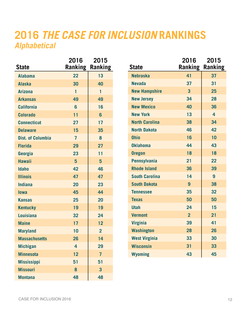## **2016** *The Case for Inclusion* **Rankings** *Alphabetical*

| <b>State</b>             | 2016<br>Ranking | 2015<br><b>Ranking</b> | <b>State</b>          | 2016<br>Ranking | 2015<br><b>Ranking</b> |
|--------------------------|-----------------|------------------------|-----------------------|-----------------|------------------------|
| <b>Alabama</b>           | 22              | 13                     | <b>Nebraska</b>       | 41              | 37                     |
| <b>Alaska</b>            | 30              | 40                     | <b>Nevada</b>         | 37              | 31                     |
| <b>Arizona</b>           | $\mathbf{1}$    | $\mathbf{1}$           | <b>New Hampshire</b>  | $\overline{3}$  | 25                     |
| <b>Arkansas</b>          | 49              | 49                     | <b>New Jersey</b>     | 34              | 28                     |
| <b>California</b>        | 6               | 16                     | <b>New Mexico</b>     | 40              | 36                     |
| <b>Colorado</b>          | 11              | $6\phantom{a}$         | <b>New York</b>       | 13              | $\overline{4}$         |
| <b>Connecticut</b>       | 27              | 17                     | <b>North Carolina</b> | 38              | 34                     |
| <b>Delaware</b>          | 15              | 35                     | <b>North Dakota</b>   | 46              | 42                     |
| <b>Dist. of Columbia</b> | $\overline{7}$  | 8                      | <b>Ohio</b>           | 16              | 10                     |
| <b>Florida</b>           | 29              | 27                     | <b>Oklahoma</b>       | 44              | 43                     |
| Georgia                  | 23              | 11                     | <b>Oregon</b>         | 18              | 18                     |
| <b>Hawaii</b>            | 5 <sup>5</sup>  | $5\phantom{a}$         | <b>Pennsylvania</b>   | 21              | 22                     |
| <b>Idaho</b>             | 42              | 46                     | <b>Rhode Island</b>   | 36              | 39                     |
| <b>Illinois</b>          | 47              | 47                     | <b>South Carolina</b> | 14              | $\overline{9}$         |
| <b>Indiana</b>           | 20              | 23                     | <b>South Dakota</b>   | 9               | 38                     |
| <b>lowa</b>              | 45              | 44                     | <b>Tennessee</b>      | 35              | 32                     |
| <b>Kansas</b>            | 25              | 20                     | <b>Texas</b>          | 50              | 50                     |
| <b>Kentucky</b>          | 19              | 19                     | <b>Utah</b>           | 24              | 15                     |
| <b>Louisiana</b>         | 32              | 24                     | <b>Vermont</b>        | 2 <sup>1</sup>  | 21                     |
| <b>Maine</b>             | 17              | 12                     | <b>Virginia</b>       | 39              | 41                     |
| <b>Maryland</b>          | 10              | $\overline{2}$         | <b>Washington</b>     | 28              | 26                     |
| <b>Massachusetts</b>     | 26              | 14                     | <b>West Virginia</b>  | 33              | 30                     |
| <b>Michigan</b>          | $\overline{4}$  | 29                     | <b>Wisconsin</b>      | 31              | 33                     |
| <b>Minnesota</b>         | 12              | $\overline{7}$         | <b>Wyoming</b>        | 43              | 45                     |
| <b>Mississippi</b>       | 51              | 51                     |                       |                 |                        |
| <b>Missouri</b>          | 8               | $\overline{3}$         |                       |                 |                        |
| <b>Montana</b>           | 48              | 48                     |                       |                 |                        |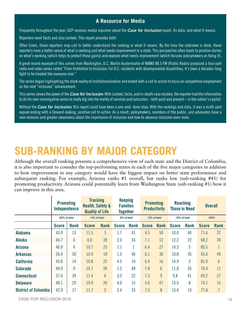#### **A Resource for Media**

Frequently throughout the year, UCP receives media inquiries about the *Case for Inclusion* report, its data, and what it means.

Reporters want facts and also context. This report provides both.

Often times, these reporters may call to better understand the ranking or what it means. By the time the interview is done, these reporters have a better sense of what is working and what needs improvement in a state. This perspective often leads to positive stories on what's working (which helps to protect those gains) and exposes what needs improvement (which focuses policymakers on fixing it).

A great recent example of this comes from Washington, D.C. Martin Austermuhle of WAMU 88.5 FM (Public Radio) produced a four-part radio and video series called "From Institution to Inclusion: For D.C. residents with developmental disabilities, it's been a decades-long fight to be treated like everyone else."

The series began highlighting the stark reality of institutionalization and ended with a call to action to focus on competitive employment as the next "inclusion" advancement.

This series shows the power of the *Case for Inclusion*. With context, facts, and in-depth case studies, the reporter had the information to do his own investigative series to really dig into the reality of services and outcomes-- both past and present-- in the nation's capital.

Without the *Case for Inclusion*, this report could have been a one-and- done story. With the rankings and data, it was a multi-part exposé ending with a forward-looking, positive call to action. As a result, policymakers, members of the public, and advocates have a new resource and greater awareness about the importance of inclusion and how to advance inclusion even more.

## **Sub-ranking by Major Category**

Although the overall ranking presents a comprehensive view of each state and the District of Columbia, it is also important to consider the top-performing states in each of the five major categories in addition to how improvement in any category would have the biggest impact on better state performance and subsequent ranking. For example, Arizona ranks #1 overall, but ranks low (sub-ranking #41) for promoting productivity. Arizona could potentially learn from Washington State (sub-ranking #1) how it can improve in this area.

|                             | <b>Promoting</b><br><b>Independence</b> |             | <b>Tracking</b><br><b>Health, Safety &amp;</b><br><b>Quality of Life</b> |                | <b>Keeping</b><br><b>Families</b><br><b>Together</b> |             | <b>Promoting</b><br><b>Productivity</b> |                 | <b>Reaching</b><br><b>Those in Need</b> |                | <b>Overall</b> |                |
|-----------------------------|-----------------------------------------|-------------|--------------------------------------------------------------------------|----------------|------------------------------------------------------|-------------|-----------------------------------------|-----------------|-----------------------------------------|----------------|----------------|----------------|
|                             | 50% of total                            |             | 14% of total                                                             |                | 8% of total                                          |             |                                         | 12% of total    |                                         | 16% of total   | 100%           |                |
|                             | <b>Score</b>                            | <b>Rank</b> | <b>Score</b>                                                             | <b>Rank</b>    | <b>Score</b>                                         | <b>Rank</b> | <b>Score</b>                            | Rank            | <b>Score</b>                            | <b>Rank</b>    | <b>Score</b>   | <b>Rank</b>    |
| <b>Alabama</b>              | 43.9                                    | 13          | 11.5                                                                     | $\overline{3}$ | 1.7                                                  | 41          | 4.5                                     | 50              | 10.0                                    | 40             | 71.6           | 22             |
| <b>Alaska</b>               | 46.7                                    | 6           | 0.0                                                                      | 39             | 2.3                                                  | 34          | 7.1                                     | 12              | 12.2                                    | 22             | 68.2           | 30             |
| <b>Arizona</b>              | 46.9                                    | 4           | 10.7                                                                     | 25             | 7.1                                                  |             | 6.4                                     | 27              | 14.3                                    | 5              | 85.5           | $\mathbf{1}$   |
| <b>Arkansas</b>             | 26.4                                    | 50          | 10.9                                                                     | 19             | 1.3                                                  | 46          | 6.1                                     | 36              | 10.8                                    | 35             | 55.6           | 49             |
| <b>California</b>           | 43.8                                    | 14          | 10.8                                                                     | 22             | 4.5                                                  | 10          | 6.9                                     | 16              | 14.9                                    | $\overline{2}$ | 81.0           | $6\phantom{1}$ |
| <b>Colorado</b>             | 44.9                                    | 9           | 10.7                                                                     | 26             | 1.2                                                  | 48          | 7.8                                     | $6\overline{6}$ | 11.8                                    | 26             | 76.4           | 11             |
| <b>Connecticut</b>          | 37.4                                    | 39          | 11.4                                                                     | $6\phantom{a}$ | 3.3                                                  | 22          | 7.3                                     | 9               | 9.8                                     | 41             | 69.2           | 27             |
| <b>Delaware</b>             | 40.1                                    | 29          | 10.9                                                                     | 20             | 4.0                                                  | 15          | 5.6                                     | 47              | 13.5                                    | 8              | 74.1           | 15             |
| <b>District of Columbia</b> | 42.9                                    | 17          | 11.7                                                                     | $\overline{2}$ | 2.4                                                  | 33          | 7.5                                     | 8               | 13.4                                    | 10             | 77.8           | $\overline{7}$ |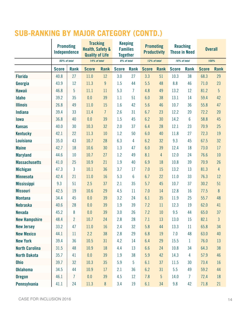## **Sub-ranking by Major Category (CONTD.)**

|                       | <b>Promoting</b><br>Independence |                | <b>Tracking</b><br><b>Health, Safety &amp;</b><br><b>Quality of Life</b> |                | <b>Keeping</b><br><b>Families</b><br><b>Together</b> |                 | <b>Promoting</b><br><b>Productivity</b> |                | <b>Reaching</b><br><b>Those in Need</b> |                | <b>Overall</b> |                |
|-----------------------|----------------------------------|----------------|--------------------------------------------------------------------------|----------------|------------------------------------------------------|-----------------|-----------------------------------------|----------------|-----------------------------------------|----------------|----------------|----------------|
|                       | 50% of total                     |                | 14% of total                                                             |                | 8% of total                                          |                 |                                         | 12% of total   |                                         | 16% of total   | 100%           |                |
|                       | <b>Score</b>                     | <b>Rank</b>    | <b>Score</b>                                                             | <b>Rank</b>    | <b>Score</b>                                         | <b>Rank</b>     | <b>Score</b>                            | Rank           | <b>Score</b>                            | <b>Rank</b>    | <b>Score</b>   | <b>Rank</b>    |
| <b>Florida</b>        | 40.8                             | 27             | 11.0                                                                     | 12             | 3.0                                                  | 27              | 3.3                                     | 51             | 10.3                                    | 38             | 68.3           | 29             |
| Georgia               | 43.9                             | 12             | 11.3                                                                     | 9              | 1.5                                                  | 44              | 5.5                                     | 48             | 8.8                                     | 46             | 71.0           | 23             |
| <b>Hawaii</b>         | 46.8                             | 5              | 11.1                                                                     | 11             | 5.3                                                  | $\overline{7}$  | 4.8                                     | 49             | 13.2                                    | 12             | 81.2           | 5              |
| <b>Idaho</b>          | 39.2                             | 35             | 0.0                                                                      | 39             | 1.1                                                  | 51              | 6.0                                     | 38             | 13.1                                    | 14             | 59.4           | 42             |
| <b>Illinois</b>       | 26.8                             | 49             | 11.0                                                                     | 15             | 1.6                                                  | 42              | 5.6                                     | 46             | 10.7                                    | 36             | 55.8           | 47             |
| <b>Indiana</b>        | 39.4                             | 33             | 11.4                                                                     | $\overline{7}$ | 2.6                                                  | 31              | 6.7                                     | 23             | 12.2                                    | 20             | 72.2           | 20             |
| <b>lowa</b>           | 36.8                             | 40             | 0.0                                                                      | 39             | 1.5                                                  | 45              | 6.2                                     | 30             | 14.2                                    | $6\phantom{1}$ | 58.8           | 45             |
| <b>Kansas</b>         | 40.0                             | 30             | 10.3                                                                     | 32             | 2.0                                                  | 37              | 6.4                                     | 28             | 12.1                                    | 23             | 70.9           | 25             |
| <b>Kentucky</b>       | 42.1                             | 22             | 11.3                                                                     | 10             | 1.2                                                  | 50              | 6.0                                     | 40             | 11.8                                    | 27             | 72.3           | 19             |
| <b>Louisiana</b>      | 35.0                             | 43             | 10.7                                                                     | 28             | 6.3                                                  | 4               | 6.2                                     | 32             | 9.3                                     | 45             | 67.5           | 32             |
| <b>Maine</b>          | 42.7                             | 18             | 10.6                                                                     | 30             | 1.3                                                  | 47              | 6.0                                     | 39             | 12.4                                    | 18             | 73.0           | 17             |
| <b>Maryland</b>       | 44.6                             | 10             | 10.7                                                                     | 27             | 1.2                                                  | 49              | 8.1                                     | $\overline{4}$ | 12.0                                    | 24             | 76.6           | 10             |
| <b>Massachusetts</b>  | 41.0                             | 25             | 10.9                                                                     | 21             | 1.9                                                  | 40              | 6.9                                     | 18             | 10.8                                    | 39             | 70.9           | 26             |
| <b>Michigan</b>       | 47.3                             | 3              | 10.1                                                                     | 36             | 3.7                                                  | 17              | 7.0                                     | 15             | 13.2                                    | 13             | 81.3           | $\overline{4}$ |
| <b>Minnesota</b>      | 42.4                             | 21             | 11.0                                                                     | 16             | 5.3                                                  | $6\phantom{.}6$ | 6.7                                     | 22             | 11.0                                    | 33             | 76.3           | 12             |
| <b>Mississippi</b>    | 9.3                              | 51             | 2.5                                                                      | 37             | 2.1                                                  | 35              | 5.7                                     | 45             | 10.7                                    | 37             | 30.2           | 51             |
| <b>Missouri</b>       | 42.5                             | 19             | 10.6                                                                     | 29             | 4.5                                                  | 11              | 7.0                                     | 14             | 12.8                                    | 16             | 77.5           | $8\phantom{1}$ |
| <b>Montana</b>        | 34.4                             | 45             | 0.0                                                                      | 39             | 3.2                                                  | 24              | 6.1                                     | 35             | 11.9                                    | 25             | 55.7           | 48             |
| <b>Nebraska</b>       | 40.6                             | 28             | 0.0                                                                      | 39             | 1.9                                                  | 39              | 7.2                                     | 11             | 12.3                                    | 19             | 62.0           | 41             |
| <b>Nevada</b>         | 45.2                             | 8              | 0.0                                                                      | 39             | 3.0                                                  | 26              | 7.2                                     | 10             | 9.5                                     | 44             | 65.0           | 37             |
| <b>New Hampshire</b>  | 48.4                             | $\overline{2}$ | 10.7                                                                     | 24             | 2.8                                                  | 28              | 7.1                                     | 13             | 13.0                                    | 15             | 82.1           | 3              |
| <b>New Jersey</b>     | 33.2                             | 47             | 11.0                                                                     | 16             | 2.4                                                  | 32              | 5.8                                     | 44             | 13.3                                    | 11             | 65.8           | 34             |
| <b>New Mexico</b>     | 44.1                             | 11             | 2.2                                                                      | 38             | 2.8                                                  | 29              | 6.8                                     | 19             | 7.0                                     | 48             | 63.0           | 40             |
| <b>New York</b>       | 39.4                             | 36             | 10.5                                                                     | 31             | 4.2                                                  | 14              | 6.4                                     | 29             | 15.5                                    | $\mathbf{1}$   | 76.0           | 13             |
| <b>North Carolina</b> | 31.5                             | 48             | 10.9                                                                     | 18             | 4.4                                                  | 13              | 6.6                                     | 24             | 10.8                                    | 34             | 64.3           | 38             |
| <b>North Dakota</b>   | 35.7                             | 41             | 0.0                                                                      | 39             | 1.9                                                  | 38              | 5.9                                     | 42             | 14.3                                    | 4              | 57.9           | 46             |
| <b>Ohio</b>           | 39.7                             | 32             | 10.3                                                                     | 35             | 5.9                                                  | 5               | 6.1                                     | 37             | 11.5                                    | 30             | 73.4           | 16             |
| <b>Oklahoma</b>       | 34.5                             | 44             | 10.9                                                                     | 17             | 2.1                                                  | 36              | 6.2                                     | 31             | 5.5                                     | 49             | 59.2           | 44             |
| <b>Oregon</b>         | 46.1                             | $\overline{7}$ | 0.0                                                                      | 39             | 4.5                                                  | 12              | 7.8                                     | 5 <sup>5</sup> | 14.0                                    | $\overline{7}$ | 72.4           | 18             |
| Pennsylvania          | 41.1                             | 24             | 11.3                                                                     | $8\,$          | 3.4                                                  | 19              | 6.1                                     | 34             | 9.8                                     | 42             | 71.8           | 21             |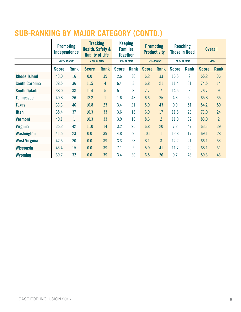#### **Sub-ranking by Major Category (CONTD.)**

|                       | <b>Promoting</b><br><b>Independence</b> |              | <b>Tracking</b><br><b>Health, Safety &amp;</b><br><b>Quality of Life</b> |                | <b>Keeping</b><br><b>Families</b><br><b>Together</b> |                | <b>Promoting</b><br><b>Productivity</b> |                | <b>Reaching</b><br><b>Those in Need</b> |             | <b>Overall</b> |                |
|-----------------------|-----------------------------------------|--------------|--------------------------------------------------------------------------|----------------|------------------------------------------------------|----------------|-----------------------------------------|----------------|-----------------------------------------|-------------|----------------|----------------|
|                       | 50% of total                            |              | 14% of total                                                             |                | 8% of total                                          |                | 12% of total                            |                | 16% of total                            |             | 100%           |                |
|                       | <b>Score</b>                            | <b>Rank</b>  | <b>Score</b>                                                             | <b>Rank</b>    | <b>Score</b>                                         | Rank           | <b>Score</b>                            | Rank           | <b>Score</b>                            | <b>Rank</b> | <b>Score</b>   | <b>Rank</b>    |
| <b>Rhode Island</b>   | 43.0                                    | 16           | 0.0                                                                      | 39             | 2.6                                                  | 30             | 6.2                                     | 33             | 16.5                                    | 9           | 65.2           | 36             |
| <b>South Carolina</b> | 38.5                                    | 36           | 11.5                                                                     | $\overline{4}$ | 6.4                                                  | 3              | 6.8                                     | 21             | 11.4                                    | 31          | 74.5           | 14             |
| <b>South Dakota</b>   | 38.0                                    | 38           | 11.4                                                                     | 5              | 5.1                                                  | 8              | 7.7                                     | $\overline{7}$ | 14.5                                    | 3           | 76.7           | 9              |
| <b>Tennessee</b>      | 40.8                                    | 26           | 12.2                                                                     | $\mathbf{1}$   | 1.6                                                  | 43             | 6.6                                     | 25             | 4.6                                     | 50          | 65.8           | 35             |
| <b>Texas</b>          | 33.3                                    | 46           | 10.8                                                                     | 23             | 3.4                                                  | 21             | 5.9                                     | 43             | 0.9                                     | 51          | 54.2           | 50             |
| <b>Utah</b>           | 38.4                                    | 37           | 10.3                                                                     | 33             | 3.6                                                  | 18             | 6.9                                     | 17             | 11.8                                    | 28          | 71.0           | 24             |
| <b>Vermont</b>        | 49.1                                    | $\mathbf{1}$ | 10.3                                                                     | 33             | 3.9                                                  | 16             | 8.6                                     | $\overline{2}$ | 11.0                                    | 32          | 83.0           | $\overline{2}$ |
| <b>Virginia</b>       | 35.2                                    | 42           | 11.0                                                                     | 14             | 3.2                                                  | 25             | 6.8                                     | 20             | 7.2                                     | 47          | 63.3           | 39             |
| <b>Washington</b>     | 41.5                                    | 23           | 0.0                                                                      | 39             | 4.8                                                  | $\overline{9}$ | 10.1                                    | $\mathbf{1}$   | 12.8                                    | 17          | 69.1           | 28             |
| <b>West Virginia</b>  | 42.5                                    | 20           | 0.0                                                                      | 39             | 3.3                                                  | 23             | 8.1                                     | $\overline{3}$ | 12.2                                    | 21          | 66.1           | 33             |
| <b>Wisconsin</b>      | 43.4                                    | 15           | 0.0                                                                      | 39             | 7.1                                                  | $\overline{2}$ | 5.9                                     | 41             | 11.7                                    | 29          | 68.1           | 31             |
| <b>Wyoming</b>        | 39.7                                    | 32           | 0.0                                                                      | 39             | 3.4                                                  | 20             | 6.5                                     | 26             | 9.7                                     | 43          | 59.3           | 43             |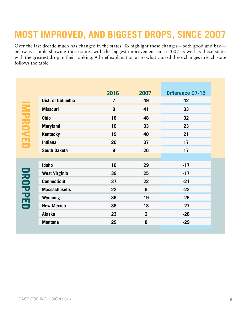## **Most Improved, and Biggest Drops, Since 2007**

Over the last decade much has changed in the states. To highlight these changes—both good and bad below is a table showing those states with the biggest improvement since 2007 as well as those states with the greatest drop in their ranking. A brief explanation as to what caused these changes in each state follows the table.

|                |                      | 2016 | 2007           | Difference 07-16 |
|----------------|----------------------|------|----------------|------------------|
|                | Dist. of Columbia    | 7    | 49             | 42               |
| IMPROVED       | <b>Missouri</b>      | 8    | 41             | 33               |
|                | <b>Ohio</b>          | 16   | 48             | 32               |
|                | <b>Maryland</b>      | 10   | 33             | 23               |
|                | <b>Kentucky</b>      | 19   | 40             | 21               |
|                | Indiana              | 20   | 37             | 17               |
|                | <b>South Dakota</b>  | 9    | 26             | 17               |
|                |                      |      |                |                  |
|                | Idaho                | 16   | 29             | $-17$            |
|                | <b>West Virginia</b> | 39   | 25             | $-17$            |
| <b>DROPPED</b> | <b>Connecticut</b>   | 37   | 22             | $-21$            |
|                | <b>Massachusetts</b> | 22   | $6\phantom{1}$ | $-22$            |
|                | Wyoming              | 36   | 19             | $-26$            |
|                | <b>New Mexico</b>    | 38   | 18             | $-27$            |
|                | <b>Alaska</b>        | 23   | $\overline{2}$ | $-28$            |
|                | <b>Montana</b>       | 29   | 8              | $-29$            |
|                |                      |      |                |                  |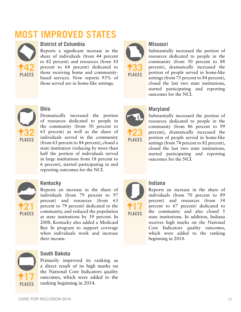## **Most Improved STATES**



#### **District of Columbia**

Reports a significant increase in the share of individuals (from 44 percent to 82 percent) and resources (from 10 percent to 64 percent) dedicated to those receiving home and communitybased services. Now reports 93% of those served are in home-like settings.



#### **Missouri**

Substantially increased the portion of resources dedicated to people in the community (from 50 percent to 88 percent), dramatically increased the portion of people served in home-like settings (from 75 percent to 84 percent), closed the last two state institutions, started participating and reporting outcomes for the NCI.



#### **Ohio**

Dramatically increased the portion of resources dedicated to people in the community (from 50 percent to 65 percent) as well as the share of individuals served in the community (from 63 percent to 84 percent), closed a state institution (reducing by more than half the portion of individuals served in large institutions from 18 percent to 6 percent), started participating in and reporting outcomes for the NCI.

## **21** PLACES

#### **Kentucky**

Reports an increase in the share of individuals (from 79 percent to 97 percent) and resources (from 63 percent to 79 percent) dedicated to the community, and reduced the population at state institutions by 39 percent. In 2008, Kentucky also added a Medicaid Buy In program to support coverage when individuals work and increase their income.



#### **South Dakota**

Primarily improved its ranking as a direct result of its high marks on the National Core Indicators quality outcomes, which were added to the ranking beginning in 2014.



#### **Maryland**

Substantially increased the portion of resources dedicated to people in the community (from 86 percent to 99 percent), dramatically increased the portion of people served in home-like settings (from 74 percent to 82 percent), closed the last two state institutions, started participating and reporting outcomes for the NCI.



#### **Indiana**

Reports an increase in the share of individuals (from 70 percent to 89 percent) and resources (from 54 percent to 67 percent) dedicated to the community and also closed 5 state institutions. In addition, Indiana receives high marks on the National Core Indicators quality outcomes, which were added to the ranking beginning in 2014.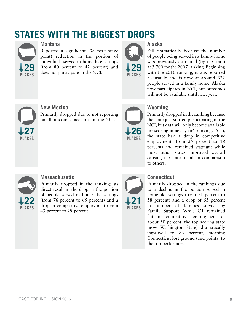## **States With The BIggest Drops**



#### **Montana**

Reported a significant (38 percentage point) reduction in the portion of individuals served in home-like settings **29** (from 80 percent to 42 percent) and does not participate in the NCI.



#### **Alaska**

Fell dramatically because the number of people being served in a family home was previously estimated (by the state) at 3,700 for the 2007 ranking. Beginning with the 2010 ranking, it was reported accurately and is now at around 332 people served in a family home. Alaska now participates in NCI, but outcomes will not be available until next year.



#### **New Mexico**

Primarily dropped due to not reporting on all outcomes measures on the NCI.



#### **Wyoming**

Primarily dropped in the ranking because the state just started participating in the NCI, but data will only become available for scoring in next year's ranking. Also, the state had a drop in competitive employment (from 25 percent to 18 percent) and remained stagnant while most other states improved overall causing the state to fall in comparison to others.



#### **Massachusetts**

Primarily dropped in the rankings as direct result in the drop in the portion of people served in home-like settings (from 76 percent to 65 percent) and a drop in competitive employment (from 43 percent to 29 percent).



#### **Connecticut**

Primarily dropped in the rankings due to a decline in the portion served in home-like settings (from 71 percent to 58 percent) and a drop of 65 percent in number of families served by Family Support. While CT remained flat in competitive employment at about 50 percent, the top scoring state (now Washington State) dramatically improved to 86 percent, meaning Connecticut lost ground (and points) to the top performers.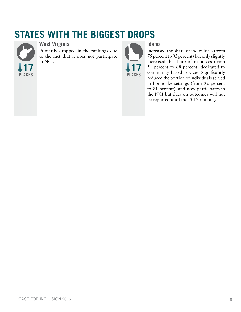## **States With The BIggest Drops**



#### **West Virginia**

Primarily dropped in the rankings due to the fact that it does not participate in NCI.

 **17** PLACES

#### **Idaho**

Increased the share of individuals (from 75 percent to 93 percent) but only slightly increased the share of resources (from 51 percent to 68 percent) dedicated to community based services. Significantly reduced the portion of individuals served in home-like settings (from 92 percent to 81 percent), and now participates in the NCI but data on outcomes will not be reported until the 2017 ranking.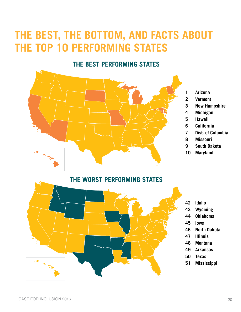## **The Best, the Bottom, and Facts about the Top 10 Performing States**

# **The Best Performing States**

- **1 Arizona**
- **2 Vermont**
- **3 New Hampshire**
- **4 Michigan**
- **5 Hawaii**
- **6 California**
- **7 Dist. of Columbia**
- **8 Missouri**
- **9 South Dakota**
- **10 Maryland**



- **42 Idaho**
- **43 Wyoming**
- **44 Oklahoma**
- **45 Iowa**
- **46 North Dakota**
- **47 Illinois**
- **48 Montana**
- **49 Arkansas**
- **50 Texas**
- **51 Mississippi**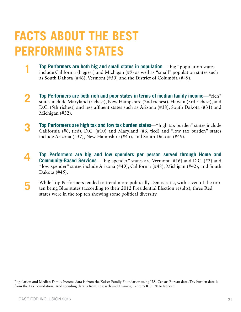## **Facts about the Best Performing States**

- **1 1 Top Performers are both big and small states in population—"big" population states include California (biggest) and Michigan (#9) as well as "small" population states such** as South Dakota (#46), Vermont (#50) and the District of Columbia (#49).
- **2 Top Performers are both rich and poor states in terms of median family income—"rich"**<br> **2 tates include Maryland (richest)** New Hampshire (2nd richest) Hawaii (3rd richest) and states include Maryland (richest), New Hampshire (2nd richest), Hawaii (3rd richest), and D.C. (5th richest) and less affluent states such as Arizona (#38), South Dakota (#31) and Michigan (#32).
- **3 Top Performers are high tax and low tax burden states**—"high tax burden" states include California (#6, tied), D.C. (#10) and Maryland (#6, tied) and "low tax burden" states include Arizona (#37), New Hampshire (#45), and South Dakota (#49).
- **4 Top Performers are big and low spenders per person served through Home and Community-Based Services—**"big spender" states are Vermont (#16) and D.C. (#2) and "low spender" states include Arizona (#49), California (#48), Michigan (#42), and South Dakota (#45).
- While Top Performers tended to trend more politically Democratic, with seven of the top ten being Blue states (according to their 2012 Presidential Election results), three Red states were in the top ten showing some political diversity.

Population and Median Family Income data is from the Kaiser Family Foundation using U.S. Census Bureau data. Tax burden data is from the Tax Foundation. And spending data is from Research and Training Center's RISP 2016 Report.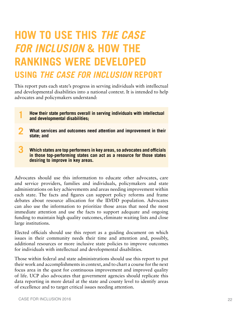## **How to Use this** *The Case for Inclusion* **& How the Rankings Were Developed**

#### **USING** *THE CASE FOR INCLUSION* **REPORT**

This report puts each state's progress in serving individuals with intellectual and developmental disabilities into a national context. It is intended to help advocates and policymakers understand:

- **1 How their state performs overall in serving individuals with intellectual and developmental disabilities. and developmental disabilities;**
- **2 What services and outcomes need attention and improvement in their state; and**
- **3 Which states are top performers in key areas, so advocates and officials in those top-performing states can act as a resource for those states desiring to improve in key areas.**

Advocates should use this information to educate other advocates, care and service providers, families and individuals, policymakers and state administrations on key achievements and areas needing improvement within each state. The facts and figures can support policy reforms and frame debates about resource allocation for the ID/DD population. Advocates can also use the information to prioritize those areas that need the most immediate attention and use the facts to support adequate and ongoing funding to maintain high quality outcomes, eliminate waiting lists and close large institutions.

Elected officials should use this report as a guiding document on which issues in their community needs their time and attention and, possibly, additional resources or more inclusive state policies to improve outcomes for individuals with intellectual and developmental disabilities.

Those within federal and state administrations should use this report to put their work and accomplishments in context, and to chart a course for the next focus area in the quest for continuous improvement and improved quality of life. UCP also advocates that government agencies should replicate this data reporting in more detail at the state and county level to identify areas of excellence and to target critical issues needing attention.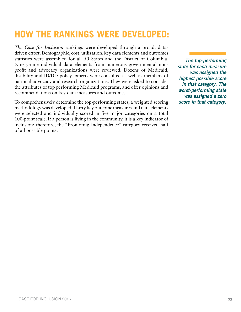## **How the Rankings Were Developed:**

*The Case for Inclusion* rankings were developed through a broad, datadriven effort. Demographic, cost, utilization, key data elements and outcomes statistics were assembled for all 50 States and the District of Columbia. Ninety-nine individual data elements from numerous governmental nonprofit and advocacy organizations were reviewed. Dozens of Medicaid, disability and ID/DD policy experts were consulted as well as members of national advocacy and research organizations. They were asked to consider the attributes of top performing Medicaid programs, and offer opinions and recommendations on key data measures and outcomes.

To comprehensively determine the top-performing states, a weighted scoring methodology was developed. Thirty key outcome measures and data elements were selected and individually scored in five major categories on a total 100-point scale. If a person is living in the community, it is a key indicator of inclusion; therefore, the "Promoting Independence" category received half of all possible points.

*The top-performing state for each measure was assigned the highest possible score in that category. The worst-performing state was assigned a zero score in that category.*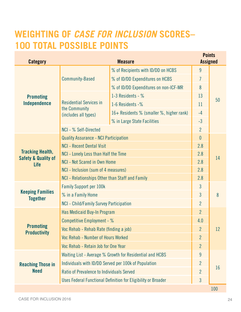## **Weighting of** *Case for Inclusion* **Scores– 100 Total Possible Points**

| <b>Category</b>                                           |                                                      | <b>Points</b><br><b>Assigned</b>                              |                |    |  |  |
|-----------------------------------------------------------|------------------------------------------------------|---------------------------------------------------------------|----------------|----|--|--|
|                                                           |                                                      | % of Recipients with ID/DD on HCBS                            | 9              |    |  |  |
|                                                           | <b>Community-Based</b>                               | % of ID/DD Expenditures on HCBS                               | $\overline{I}$ |    |  |  |
|                                                           |                                                      | % of ID/DD Expenditures on non-ICF-MR                         | 8              | 50 |  |  |
| <b>Promoting</b>                                          |                                                      | 1-3 Residents - $%$                                           | 13             |    |  |  |
| Independence                                              | <b>Residential Services in</b>                       | 1-6 Residents -%                                              | 11             |    |  |  |
|                                                           | the Community<br>(includes all types)                | 16+ Residents % (smaller %, higher rank)                      | $-4$           |    |  |  |
|                                                           |                                                      | % in Large State Facilities                                   | $-3$           |    |  |  |
|                                                           | NCI - % Self-Directed                                |                                                               | $\overline{2}$ |    |  |  |
|                                                           | <b>Quality Assurance - NCI Participation</b>         |                                                               | $\theta$       |    |  |  |
|                                                           | <b>NCI - Recent Dental Visit</b>                     | 2.8                                                           | 14             |    |  |  |
| <b>Tracking Health,</b><br><b>Safety &amp; Quality of</b> | NCI - Lonely Less than Half the Time                 | 2.8                                                           |                |    |  |  |
| <b>Life</b>                                               | <b>NCI - Not Scared in Own Home</b>                  | 2.8                                                           |                |    |  |  |
|                                                           | NCI - Inclusion (sum of 4 measures)                  | 2.8                                                           |                |    |  |  |
|                                                           | NCI - Relationships Other than Staff and Family      |                                                               | 2.8            |    |  |  |
| <b>Keeping Families</b>                                   | <b>Family Support per 100k</b>                       | $\mathbf{3}$                                                  | 8              |    |  |  |
| <b>Together</b>                                           | % in a Family Home                                   | $\overline{3}$                                                |                |    |  |  |
|                                                           | <b>NCI - Child/Family Survey Participation</b>       | $\overline{2}$                                                |                |    |  |  |
|                                                           | Has Medicaid Buy-In Program                          |                                                               | $\overline{2}$ |    |  |  |
|                                                           | Competitive Employment - %                           |                                                               | 4.0            |    |  |  |
| <b>Promoting</b><br><b>Productivity</b>                   | Voc Rehab - Rehab Rate (finding a job)               |                                                               | $\overline{2}$ | 12 |  |  |
|                                                           | Voc Rehab - Number of Hours Worked                   |                                                               | $\overline{2}$ |    |  |  |
|                                                           | Voc Rehab - Retain Job for One Year                  |                                                               | $\overline{2}$ |    |  |  |
|                                                           |                                                      | Waiting List - Average % Growth for Residential and HCBS      | 9              | 16 |  |  |
| <b>Reaching Those in</b>                                  | Individuals with ID/DD Served per 100k of Population |                                                               | $\overline{2}$ |    |  |  |
| <b>Need</b>                                               | Ratio of Prevalence to Individuals Served            |                                                               | $\overline{2}$ |    |  |  |
|                                                           |                                                      | Uses Federal Functional Definition for Eligibility or Broader | $\mathfrak{Z}$ |    |  |  |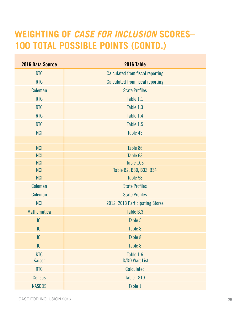## **Weighting of** *Case for Inclusion* **Scores– 100 Total Possible Points (CONTD.)**

| 2016 Data Source     | 2016 Table                              |
|----------------------|-----------------------------------------|
| <b>RTC</b>           | <b>Calculated from fiscal reporting</b> |
| <b>RTC</b>           | <b>Calculated from fiscal reporting</b> |
| Coleman              | <b>State Profiles</b>                   |
| <b>RTC</b>           | Table 1.1                               |
| <b>RTC</b>           | Table 1.3                               |
| <b>RTC</b>           | Table 1.4                               |
| <b>RTC</b>           | Table 1.5                               |
| <b>NCI</b>           | Table 43                                |
|                      |                                         |
| <b>NCI</b>           | Table 86                                |
| <b>NCI</b>           | Table 63                                |
| <b>NCI</b>           | Table 106                               |
| <b>NCI</b>           | Table B2, B30, B32, B34                 |
| <b>NCI</b>           | Table 58                                |
| Coleman              | <b>State Profiles</b>                   |
| Coleman              | <b>State Profiles</b>                   |
| <b>NCI</b>           | 2012, 2013 Participating Stores         |
| Mathematica          | Table B.3                               |
| C                    | Table 5                                 |
| C                    | Table 8                                 |
| C                    | Table 8                                 |
| C                    | Table 8                                 |
| <b>RTC</b><br>Kaiser | Table 1.6<br><b>ID/DD Wait List</b>     |
| <b>RTC</b>           | Calculated                              |
| Census               | <b>Table 1810</b>                       |
| <b>NASDDS</b>        | Table 1                                 |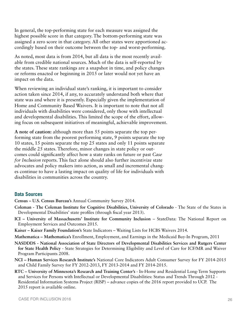In general, the top-performing state for each measure was assigned the highest possible score in that category. The bottom-performing state was assigned a zero score in that category. All other states were apportioned accordingly based on their outcome between the top- and worst-performing.

As noted, most data is from 2014, but all data is the most recently available from credible national sources. Much of the data is self-reported by the states. These state rankings are a snapshot in time, and policy changes or reforms enacted or beginning in 2015 or later would not yet have an impact on the data.

When reviewing an individual state's ranking, it is important to consider action taken since 2014, if any, to accurately understand both where that state was and where it is presently. Especially given the implementation of Home and Community Based Waivers. It is important to note that not all individuals with disabilities were considered, only those with intellectual and developmental disabilities. This limited the scope of the effort, allowing focus on subsequent initiatives of meaningful, achievable improvement.

**A note of caution:** although more than 55 points separate the top performing state from the poorest performing state, 9 points separate the top 10 states, 15 points separate the top 25 states and only 11 points separate the middle 25 states. Therefore, minor changes in state policy or outcomes could significantly affect how a state ranks on future or past *Case for Inclusion* reports. This fact alone should also further incentivize state advocates and policy makers into action, as small and incremental changes continue to have a lasting impact on quality of life for individuals with disabilities in communities across the country.

#### **Data Sources**

**Census – U.S. Census Bureau's** [Annual Community Survey 2014.](http://factfinder2.census.gov/)

- **Coleman The Coleman Institute for Cognitive Disabilities, University of Colorado** The State of the States in Developmental Disabilities' [state profiles \(through fiscal year 2013\)](http://www.stateofthestates.org/index.php/intellectualdevelopmental-disabilities/state-profiles).
- **ICI University of Massachusetts' Institute for Community Inclusion** [StateData: The National Report on](https://www.statedata.info/sites/statedata.info/files/files/state_data_book_2015.pdf) [Employment Services and Outcomes 2015](https://www.statedata.info/sites/statedata.info/files/files/state_data_book_2015.pdf).
- **Kaiser Kaiser Family Foundation's** [State Indicators Waiting Lists f](http://kff.org/health-reform/state-indicator/waiting-lists-for-hcbs-waivers/)or HCBS Waivers 2014.
- **Mathematica Mathematica's** [Enrollment, Employment, and Earnings in the Medicaid Buy-In Program, 2011](http://www.mathematica-mpr.com/~/media/publications/PDFs/health/medicaid_buyin_enrollment.pdf)
- **NASDDDS National Association of State Directors of Developmental Disabilities Services and Rutgers Center for State Health Policy** - [State Strategies for Determining Eligibility and Level of Care for ICF/MR and Waiver](http://www.nasddds.org/uploads/documents/NASDDDS-EligibilityReportFinal.pdf)  [Program Participants 2008.](http://www.nasddds.org/uploads/documents/NASDDDS-EligibilityReportFinal.pdf)
- **NCI Human Services Research Institute's** National Core Indicators [Adult Consumer Survey for FY 2014-2015](http://www.nationalcoreindicators.org/upload/core-indicators/ACS_2014-15_Final1.pdf) and Child Family Survey for FY 2012-2013, FY 2013-2014 and [FY 2014-2015](http://www.nationalcoreindicators.org/resources/reports/#reports-children-family-survey-state-reports).
- **RTC University of Minnesota's Research and Training Center's** In-Home and Residential Long-Term Supports and Services for Persons with Intellectual or Developmental Disabilities: Status and Trends Through 2012 - Residential Information Systems Project (RISP) – advance copies of the 2016 report provided to UCP. The [2015 report is available online.](https://risp.umn.edu/media/download/cms/media/risp/RISP2013_WEB.pdf)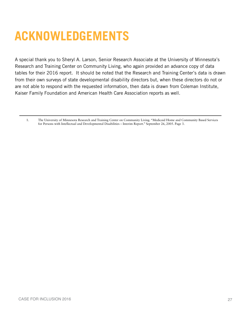## **Acknowledgements**

A special thank you to Sheryl A. Larson, Senior Research Associate at the University of Minnesota's Research and Training Center on Community Living, who again provided an advance copy of data tables for their 2016 report. It should be noted that the Research and Training Center's data is drawn from their own surveys of state developmental disability directors but, when these directors do not or are not able to respond with the requested information, then data is drawn from Coleman Institute, Kaiser Family Foundation and American Health Care Association reports as well.

<sup>1.</sup> The University of Minnesota Research and Training Center on Community Living. "Medicaid Home and Community Based Services for Persons with Intellectual and Developmental Disabilities – Interim Report." September 26, 2005. Page 3.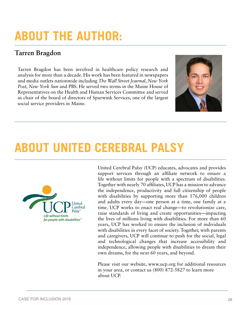## **About the Author:**

#### **Tarren Bragdon**

Tarren Bragdon has been involved in healthcare policy research and analysis for more than a decade. His work has been featured in newspapers and media outlets nationwide including *The Wall Street Journal*, *New York Post*, *New York Sun* and PBS. He served two terms in the Maine House of Representatives on the Health and Human Services Committee and served as chair of the board of directors of Spurwink Services, one of the largest social service providers in Maine.



## **About United Cerebral Palsy**



United Cerebral Palsy (UCP) educates, advocates and provides support services through an affiliate network to ensure a life without limits for people with a spectrum of disabilities. Together with nearly 70 affiliates, UCP has a mission to advance the independence, productivity and full citizenship of people with disabilities by supporting more than 176,000 children and adults every day—one person at a time, one family at a time. UCP works to enact real change—to revolutionize care, raise standards of living and create opportunities—impacting the lives of millions living with disabilities. For more than 60 years, UCP has worked to ensure the inclusion of individuals with disabilities in every facet of society. Together, with parents and caregivers, UCP will continue to push for the social, legal and technological changes that increase accessibility and independence, allowing people with disabilities to dream their own dreams, for the next 60 years, and beyond.

Please visit our website, www.ucp.org for additional resources in your area, or contact us (800) 872-5827 to learn more about UCP.